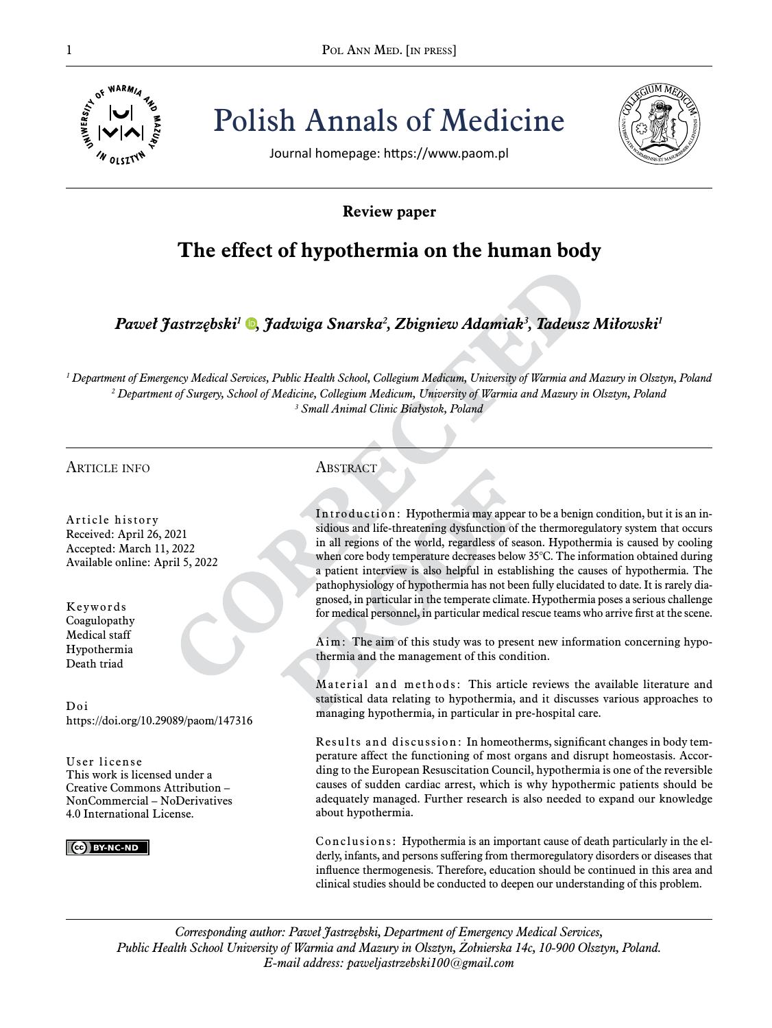

Pol ANN MED. [IN PRESS] Polish Annals of Medicine



Journal homepage: https://www.paom.pl

## **Review paper**

# **The effect of hypothermia on the human body**

*Paweł Jastrzębski<sup>1</sup> [,](https://orcid.org/0000-0002-0994-7044) Jadwiga Snarska<sup>2</sup> , Zbigniew Adamiak<sup>3</sup> , Tadeusz Miłowski<sup>1</sup>*

*1 Department of Emergency Medical Services, Public Health School, Collegium Medicum, University of Warmia and Mazury in Olsztyn, Poland 2 Department of Surgery, School of Medicine, Collegium Medicum, University of Warmia and Mazury in Olsztyn, Poland 3 Small Animal Clinic Białystok, Poland*

## article info

Article history Received: April 26, 2021 Accepted: March 11, 2022 Available online: April 5, 2022

Keywords Coagulopathy Medical staff Hypothermia Death triad

Doi https://doi.org/10.29089/paom/147316

User license This work is licensed under a Creative Commons Attribution – NonCommercial – NoDerivatives 4.0 International License.

**CC** BY-NC-ND

## **ABSTRACT**

Introduction: Hypothermia may appear to be a benign condition, but it is an insidious and life-threatening dysfunction of the thermoregulatory system that occurs in all regions of the world, regardless of season. Hypothermia is caused by cooling when core body temperature decreases below 35°C. The information obtained during a patient interview is also helpful in establishing the causes of hypothermia. The pathophysiology of hypothermia has not been fully elucidated to date. It is rarely diagnosed, in particular in the temperate climate. Hypothermia poses a serious challenge for medical personnel, in particular medical rescue teams who arrive first at the scene.

Aim: The aim of this study was to present new information concerning hypothermia and the management of this condition.

Material and methods: This article reviews the available literature and statistical data relating to hypothermia, and it discusses various approaches to managing hypothermia, in particular in pre-hospital care.

Results and discussion: In homeotherms, significant changes in body temperature affect the functioning of most organs and disrupt homeostasis. According to the European Resuscitation Council, hypothermia is one of the reversible causes of sudden cardiac arrest, which is why hypothermic patients should be adequately managed. Further research is also needed to expand our knowledge about hypothermia.

Conclusions: Hypothermia is an important cause of death particularly in the elderly, infants, and persons suffering from thermoregulatory disorders or diseases that influence thermogenesis. Therefore, education should be continued in this area and clinical studies should be conducted to deepen our understanding of this problem.

*Corresponding author: Paweł Jastrzębski, Department of Emergency Medical Services, Public Health School University of Warmia and Mazury in Olsztyn, Żołnierska 14c, 10-900 Olsztyn, Poland. E-mail address: paweljastrzebski100@gmail.com*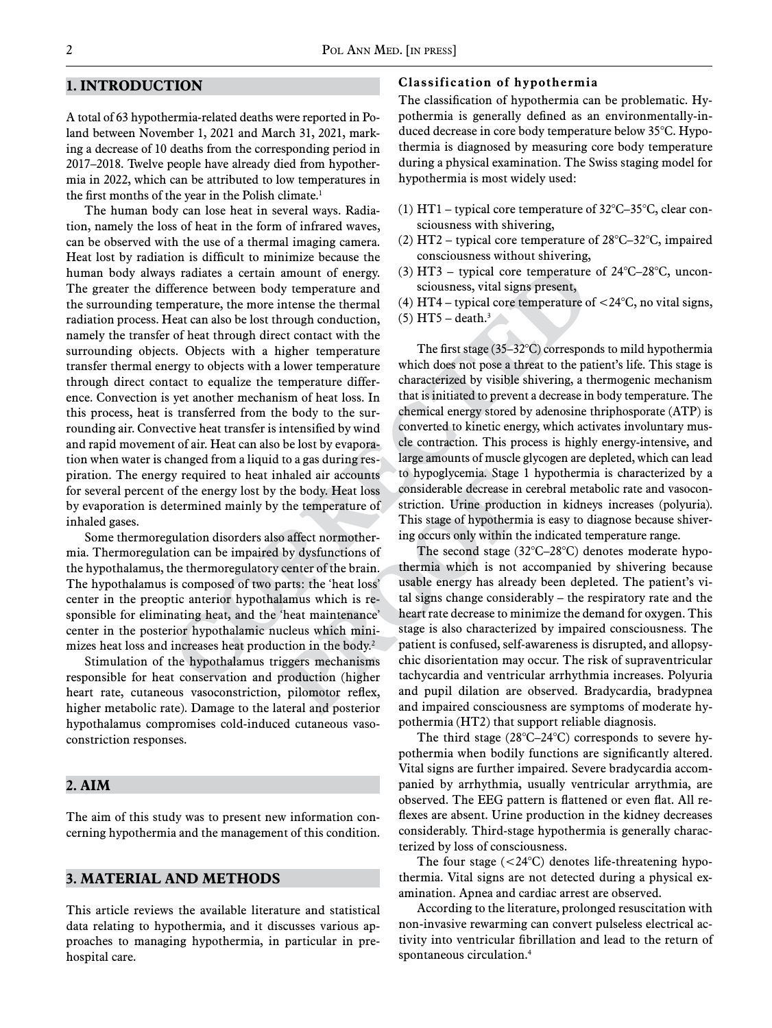### **1. Introduction**

A total of 63 hypothermia-related deaths were reported in Poland between November 1, 2021 and March 31, 2021, marking a decrease of 10 deaths from the corresponding period in 2017–2018. Twelve people have already died from hypothermia in 2022, which can be attributed to low temperatures in the first months of the year in the Polish climate.<sup>1</sup>

The human body can lose heat in several ways. Radiation, namely the loss of heat in the form of infrared waves, can be observed with the use of a thermal imaging camera. Heat lost by radiation is difficult to minimize because the human body always radiates a certain amount of energy. The greater the difference between body temperature and the surrounding temperature, the more intense the thermal radiation process. Heat can also be lost through conduction, namely the transfer of heat through direct contact with the surrounding objects. Objects with a higher temperature transfer thermal energy to objects with a lower temperature through direct contact to equalize the temperature difference. Convection is yet another mechanism of heat loss. In this process, heat is transferred from the body to the surrounding air. Convective heat transfer is intensified by wind and rapid movement of air. Heat can also be lost by evaporation when water is changed from a liquid to a gas during respiration. The energy required to heat inhaled air accounts for several percent of the energy lost by the body. Heat loss by evaporation is determined mainly by the temperature of inhaled gases.

Some thermoregulation disorders also affect normothermia. Thermoregulation can be impaired by dysfunctions of the hypothalamus, the thermoregulatory center of the brain. The hypothalamus is composed of two parts: the 'heat loss' center in the preoptic anterior hypothalamus which is responsible for eliminating heat, and the 'heat maintenance' center in the posterior hypothalamic nucleus which minimizes heat loss and increases heat production in the body.<sup>2</sup>

Stimulation of the hypothalamus triggers mechanisms responsible for heat conservation and production (higher heart rate, cutaneous vasoconstriction, pilomotor reflex, higher metabolic rate). Damage to the lateral and posterior hypothalamus compromises cold-induced cutaneous vasoconstriction responses.

#### **2. Aim**

The aim of this study was to present new information concerning hypothermia and the management of this condition.

## **3. Material and Methods**

This article reviews the available literature and statistical data relating to hypothermia, and it discusses various approaches to managing hypothermia, in particular in prehospital care.

#### **Classification of hypothermia**

The classification of hypothermia can be problematic. Hypothermia is generally defined as an environmentally-induced decrease in core body temperature below 35°C. Hypothermia is diagnosed by measuring core body temperature during a physical examination. The Swiss staging model for hypothermia is most widely used:

- (1) HT1 typical core temperature of 32°C–35°C, clear consciousness with shivering,
- (2) HT2 typical core temperature of 28°C–32°C, impaired consciousness without shivering,
- (3) HT3 typical core temperature of 24°C–28°C, unconsciousness, vital signs present,
- (4) HT4 typical core temperature of  $<$  24 $\degree$ C, no vital signs,
- (5)  $HT5 death.<sup>3</sup>$

The first stage (35–32°C) corresponds to mild hypothermia which does not pose a threat to the patient's life. This stage is characterized by visible shivering, a thermogenic mechanism that is initiated to prevent a decrease in body temperature. The chemical energy stored by adenosine thriphosporate (ATP) is converted to kinetic energy, which activates involuntary muscle contraction. This process is highly energy-intensive, and large amounts of muscle glycogen are depleted, which can lead to hypoglycemia. Stage 1 hypothermia is characterized by a considerable decrease in cerebral metabolic rate and vasoconstriction. Urine production in kidneys increases (polyuria). This stage of hypothermia is easy to diagnose because shivering occurs only within the indicated temperature range.

The second stage (32°C–28°C) denotes moderate hypothermia which is not accompanied by shivering because usable energy has already been depleted. The patient's vital signs change considerably – the respiratory rate and the heart rate decrease to minimize the demand for oxygen. This stage is also characterized by impaired consciousness. The patient is confused, self-awareness is disrupted, and allopsychic disorientation may occur. The risk of supraventricular tachycardia and ventricular arrhythmia increases. Polyuria and pupil dilation are observed. Bradycardia, bradypnea and impaired consciousness are symptoms of moderate hypothermia (HT2) that support reliable diagnosis.

The third stage (28°C–24°C) corresponds to severe hypothermia when bodily functions are significantly altered. Vital signs are further impaired. Severe bradycardia accompanied by arrhythmia, usually ventricular arrythmia, are observed. The EEG pattern is flattened or even flat. All reflexes are absent. Urine production in the kidney decreases considerably. Third-stage hypothermia is generally characterized by loss of consciousness.

The four stage  $(<24$ °C) denotes life-threadening hypothermia. Vital signs are not detected during a physical examination. Apnea and cardiac arrest are observed.

According to the literature, prolonged resuscitation with non-invasive rewarming can convert pulseless electrical activity into ventricular fibrillation and lead to the return of spontaneous circulation.4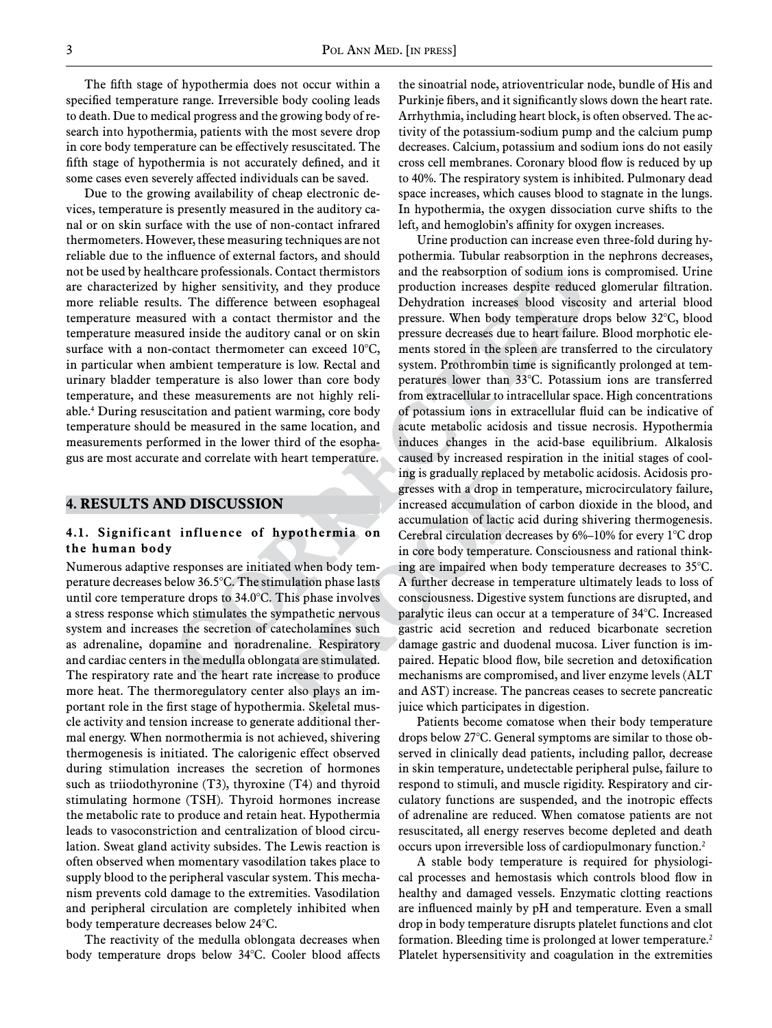The fifth stage of hypothermia does not occur within a specified temperature range. Irreversible body cooling leads to death. Due to medical progress and the growing body of research into hypothermia, patients with the most severe drop in core body temperature can be effectively resuscitated. The fifth stage of hypothermia is not accurately defined, and it some cases even severely affected individuals can be saved.

Due to the growing availability of cheap electronic devices, temperature is presently measured in the auditory canal or on skin surface with the use of non-contact infrared thermometers. However, these measuring techniques are not reliable due to the influence of external factors, and should not be used by healthcare professionals. Contact thermistors are characterized by higher sensitivity, and they produce more reliable results. The difference between esophageal temperature measured with a contact thermistor and the temperature measured inside the auditory canal or on skin surface with a non-contact thermometer can exceed 10°C, in particular when ambient temperature is low. Rectal and urinary bladder temperature is also lower than core body temperature, and these measurements are not highly reliable.4 During resuscitation and patient warming, core body temperature should be measured in the same location, and measurements performed in the lower third of the esophagus are most accurate and correlate with heart temperature.

#### **4. Results and Discussion**

#### **4.1. Significant influence of hypothermia on the human body**

Numerous adaptive responses are initiated when body temperature decreases below 36.5°C. The stimulation phase lasts until core temperature drops to 34.0°C. This phase involves a stress response which stimulates the sympathetic nervous system and increases the secretion of catecholamines such as adrenaline, dopamine and noradrenaline. Respiratory and cardiac centers in the medulla oblongata are stimulated. The respiratory rate and the heart rate increase to produce more heat. The thermoregulatory center also plays an important role in the first stage of hypothermia. Skeletal muscle activity and tension increase to generate additional thermal energy. When normothermia is not achieved, shivering thermogenesis is initiated. The calorigenic effect observed during stimulation increases the secretion of hormones such as triiodothyronine (T3), thyroxine (T4) and thyroid stimulating hormone (TSH). Thyroid hormones increase the metabolic rate to produce and retain heat. Hypothermia leads to vasoconstriction and centralization of blood circulation. Sweat gland activity subsides. The Lewis reaction is often observed when momentary vasodilation takes place to supply blood to the peripheral vascular system. This mechanism prevents cold damage to the extremities. Vasodilation and peripheral circulation are completely inhibited when body temperature decreases below 24°C.

The reactivity of the medulla oblongata decreases when body temperature drops below 34°C. Cooler blood affects

the sinoatrial node, atrioventricular node, bundle of His and Purkinje fibers, and it significantly slows down the heart rate. Arrhythmia, including heart block, is often observed. The activity of the potassium-sodium pump and the calcium pump decreases. Calcium, potassium and sodium ions do not easily cross cell membranes. Coronary blood flow is reduced by up to 40%. The respiratory system is inhibited. Pulmonary dead space increases, which causes blood to stagnate in the lungs. In hypothermia, the oxygen dissociation curve shifts to the left, and hemoglobin's affinity for oxygen increases.

Urine production can increase even three-fold during hypothermia. Tubular reabsorption in the nephrons decreases, and the reabsorption of sodium ions is compromised. Urine production increases despite reduced glomerular filtration. Dehydration increases blood viscosity and arterial blood pressure. When body temperature drops below 32°C, blood pressure decreases due to heart failure. Blood morphotic elements stored in the spleen are transferred to the circulatory system. Prothrombin time is significantly prolonged at temperatures lower than 33°C. Potassium ions are transferred from extracellular to intracellular space. High concentrations of potassium ions in extracellular fluid can be indicative of acute metabolic acidosis and tissue necrosis. Hypothermia induces changes in the acid-base equilibrium. Alkalosis caused by increased respiration in the initial stages of cooling is gradually replaced by metabolic acidosis. Acidosis progresses with a drop in temperature, microcirculatory failure, increased accumulation of carbon dioxide in the blood, and accumulation of lactic acid during shivering thermogenesis. Cerebral circulation decreases by 6%–10% for every 1°C drop in core body temperature. Consciousness and rational thinking are impaired when body temperature decreases to 35°C. A further decrease in temperature ultimately leads to loss of consciousness. Digestive system functions are disrupted, and paralytic ileus can occur at a temperature of 34°C. Increased gastric acid secretion and reduced bicarbonate secretion damage gastric and duodenal mucosa. Liver function is impaired. Hepatic blood flow, bile secretion and detoxification mechanisms are compromised, and liver enzyme levels (ALT and AST) increase. The pancreas ceases to secrete pancreatic juice which participates in digestion.

Patients become comatose when their body temperature drops below 27°C. General symptoms are similar to those observed in clinically dead patients, including pallor, decrease in skin temperature, undetectable peripheral pulse, failure to respond to stimuli, and muscle rigidity. Respiratory and circulatory functions are suspended, and the inotropic effects of adrenaline are reduced. When comatose patients are not resuscitated, all energy reserves become depleted and death occurs upon irreversible loss of cardiopulmonary function.2

A stable body temperature is required for physiological processes and hemostasis which controls blood flow in healthy and damaged vessels. Enzymatic clotting reactions are influenced mainly by pH and temperature. Even a small drop in body temperature disrupts platelet functions and clot formation. Bleeding time is prolonged at lower temperature.<sup>2</sup> Platelet hypersensitivity and coagulation in the extremities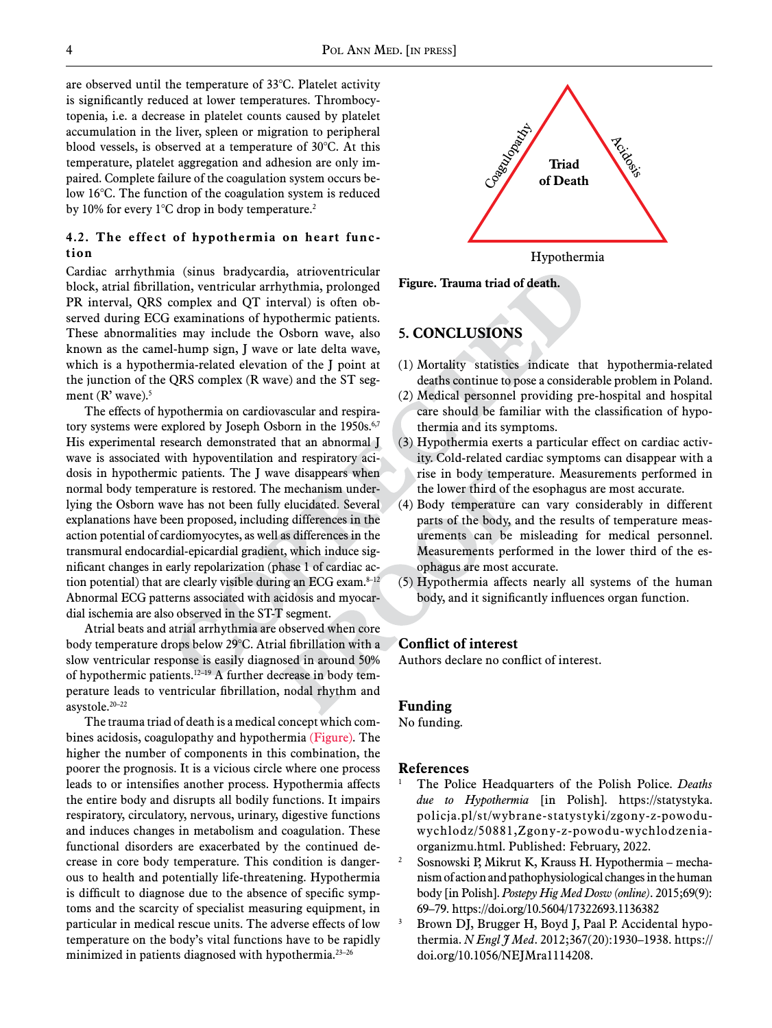are observed until the temperature of 33°C. Platelet activity is significantly reduced at lower temperatures. Thrombocytopenia, i.e. a decrease in platelet counts caused by platelet accumulation in the liver, spleen or migration to peripheral blood vessels, is observed at a temperature of 30°C. At this temperature, platelet aggregation and adhesion are only impaired. Complete failure of the coagulation system occurs below 16°C. The function of the coagulation system is reduced by 10% for every 1°C drop in body temperature.<sup>2</sup>

#### **4.2. The effect of hypothermia on heart function**

Cardiac arrhythmia (sinus bradycardia, atrioventricular block, atrial fibrillation, ventricular arrhythmia, prolonged PR interval, QRS complex and QT interval) is often observed during ECG examinations of hypothermic patients. These abnormalities may include the Osborn wave, also known as the camel-hump sign, J wave or late delta wave, which is a hypothermia-related elevation of the J point at the junction of the QRS complex (R wave) and the ST segment  $(R'$  wave).<sup>5</sup>

The effects of hypothermia on cardiovascular and respiratory systems were explored by Joseph Osborn in the 1950s.<sup>6,7</sup> His experimental research demonstrated that an abnormal J wave is associated with hypoventilation and respiratory acidosis in hypothermic patients. The J wave disappears when normal body temperature is restored. The mechanism underlying the Osborn wave has not been fully elucidated. Several explanations have been proposed, including differences in the action potential of cardiomyocytes, as well as differences in the transmural endocardial-epicardial gradient, which induce significant changes in early repolarization (phase 1 of cardiac action potential) that are clearly visible during an ECG exam. $8-12$ Abnormal ECG patterns associated with acidosis and myocardial ischemia are also observed in the ST-T segment.

Atrial beats and atrial arrhythmia are observed when core body temperature drops below 29°C. Atrial fibrillation with a slow ventricular response is easily diagnosed in around 50% of hypothermic patients.12–19 A further decrease in body temperature leads to ventricular fibrillation, nodal rhythm and asystole.20–22

The trauma triad of death is a medical concept which combines acidosis, coagulopathy and hypothermia (Figure). The higher the number of components in this combination, the poorer the prognosis. It is a vicious circle where one process leads to or intensifies another process. Hypothermia affects the entire body and disrupts all bodily functions. It impairs respiratory, circulatory, nervous, urinary, digestive functions and induces changes in metabolism and coagulation. These functional disorders are exacerbated by the continued decrease in core body temperature. This condition is dangerous to health and potentially life-threatening. Hypothermia is difficult to diagnose due to the absence of specific symptoms and the scarcity of specialist measuring equipment, in particular in medical rescue units. The adverse effects of low temperature on the body's vital functions have to be rapidly minimized in patients diagnosed with hypothermia. $23-26$ 



**Figure. Trauma triad of death.** 

## **5. Conclusions**

- (1) Mortality statistics indicate that hypothermia-related deaths continue to pose a considerable problem in Poland.
- (2) Medical personnel providing pre-hospital and hospital care should be familiar with the classification of hypothermia and its symptoms.
- (3) Hypothermia exerts a particular effect on cardiac activity. Cold-related cardiac symptoms can disappear with a rise in body temperature. Measurements performed in the lower third of the esophagus are most accurate.
- (4) Body temperature can vary considerably in different parts of the body, and the results of temperature measurements can be misleading for medical personnel. Measurements performed in the lower third of the esophagus are most accurate.
- (5) Hypothermia affects nearly all systems of the human body, and it significantly influences organ function.

#### **Conflict of interest**

Authors declare no conflict of interest.

#### **Funding**

No funding.

#### **References**

- <sup>1</sup> The Police Headquarters of the Polish Police. *Deaths due to Hypothermia* [in Polish]. https://statystyka. policja.pl/st/wybrane-statystyki/zgony-z-powoduwychlodz/50881,Zgony-z-powodu-wychlodzeniaorganizmu.html. Published: February, 2022.
- <sup>2</sup> Sosnowski P, Mikrut K, Krauss H. Hypothermia mechanism of action and pathophysiological changes in the human body [in Polish]. *Postepy Hig Med Dosw (online)*. 2015;69(9): 69–79. https://doi.org/10.5604/17322693.1136382<br>Brown DJ, Brugger H, Boyd J, Paal P. Accidental hypo-
- thermia. *N Engl J Med*. 2012;367(20):1930–1938. https:// doi.org/10.1056/NEJMra1114208.